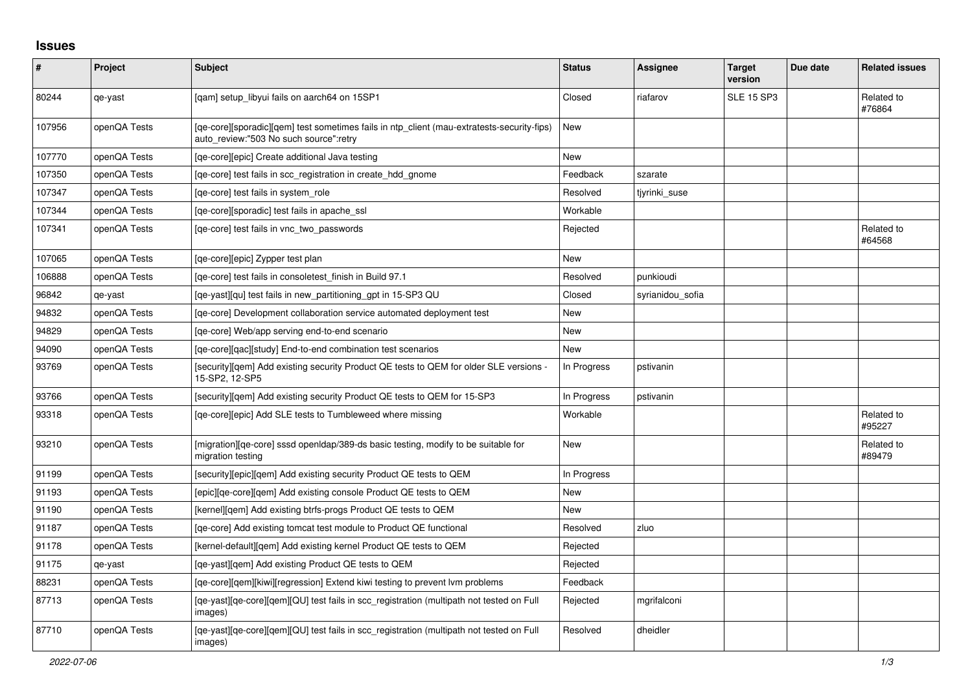## **Issues**

| $\vert$ # | Project      | <b>Subject</b>                                                                                                                       | <b>Status</b> | <b>Assignee</b>  | <b>Target</b><br>version | Due date | <b>Related issues</b> |
|-----------|--------------|--------------------------------------------------------------------------------------------------------------------------------------|---------------|------------------|--------------------------|----------|-----------------------|
| 80244     | qe-yast      | [qam] setup_libyui fails on aarch64 on 15SP1                                                                                         | Closed        | riafarov         | <b>SLE 15 SP3</b>        |          | Related to<br>#76864  |
| 107956    | openQA Tests | [ge-core][sporadic][gem] test sometimes fails in ntp client (mau-extratests-security-fips)<br>auto_review:"503 No such source":retry | New           |                  |                          |          |                       |
| 107770    | openQA Tests | [qe-core][epic] Create additional Java testing                                                                                       | New           |                  |                          |          |                       |
| 107350    | openQA Tests | [ge-core] test fails in scc registration in create hdd gnome                                                                         | Feedback      | szarate          |                          |          |                       |
| 107347    | openQA Tests | [ge-core] test fails in system role                                                                                                  | Resolved      | tjyrinki suse    |                          |          |                       |
| 107344    | openQA Tests | [ge-core][sporadic] test fails in apache ssl                                                                                         | Workable      |                  |                          |          |                       |
| 107341    | openQA Tests | [ge-core] test fails in vnc two passwords                                                                                            | Rejected      |                  |                          |          | Related to<br>#64568  |
| 107065    | openQA Tests | [ge-core][epic] Zypper test plan                                                                                                     | <b>New</b>    |                  |                          |          |                       |
| 106888    | openQA Tests | [qe-core] test fails in consoletest finish in Build 97.1                                                                             | Resolved      | punkioudi        |                          |          |                       |
| 96842     | qe-yast      | [ge-yast][gu] test fails in new partitioning gpt in 15-SP3 QU                                                                        | Closed        | syrianidou sofia |                          |          |                       |
| 94832     | openQA Tests | [qe-core] Development collaboration service automated deployment test                                                                | New           |                  |                          |          |                       |
| 94829     | openQA Tests | [ge-core] Web/app serving end-to-end scenario                                                                                        | <b>New</b>    |                  |                          |          |                       |
| 94090     | openQA Tests | [ge-core][gac][study] End-to-end combination test scenarios                                                                          | <b>New</b>    |                  |                          |          |                       |
| 93769     | openQA Tests | [security][qem] Add existing security Product QE tests to QEM for older SLE versions -<br>15-SP2, 12-SP5                             | In Progress   | pstivanin        |                          |          |                       |
| 93766     | openQA Tests | [security][qem] Add existing security Product QE tests to QEM for 15-SP3                                                             | In Progress   | pstivanin        |                          |          |                       |
| 93318     | openQA Tests | [ge-core][epic] Add SLE tests to Tumbleweed where missing                                                                            | Workable      |                  |                          |          | Related to<br>#95227  |
| 93210     | openQA Tests | [migration][qe-core] sssd openIdap/389-ds basic testing, modify to be suitable for<br>migration testing                              | New           |                  |                          |          | Related to<br>#89479  |
| 91199     | openQA Tests | [security][epic][gem] Add existing security Product QE tests to QEM                                                                  | In Progress   |                  |                          |          |                       |
| 91193     | openQA Tests | [epic][qe-core][qem] Add existing console Product QE tests to QEM                                                                    | New           |                  |                          |          |                       |
| 91190     | openQA Tests | [kernel][gem] Add existing btrfs-progs Product QE tests to QEM                                                                       | New           |                  |                          |          |                       |
| 91187     | openQA Tests | [ge-core] Add existing tomcat test module to Product QE functional                                                                   | Resolved      | zluo             |                          |          |                       |
| 91178     | openQA Tests | [kernel-default][gem] Add existing kernel Product QE tests to QEM                                                                    | Rejected      |                  |                          |          |                       |
| 91175     | qe-yast      | [ge-yast][gem] Add existing Product QE tests to QEM                                                                                  | Rejected      |                  |                          |          |                       |
| 88231     | openQA Tests | [qe-core][qem][kiwi][regression] Extend kiwi testing to prevent lvm problems                                                         | Feedback      |                  |                          |          |                       |
| 87713     | openQA Tests | [qe-yast][qe-core][qem][QU] test fails in scc_registration (multipath not tested on Full<br>images)                                  | Rejected      | mgrifalconi      |                          |          |                       |
| 87710     | openQA Tests | [qe-yast][qe-core][qem][QU] test fails in scc_registration (multipath not tested on Full<br>images)                                  | Resolved      | dheidler         |                          |          |                       |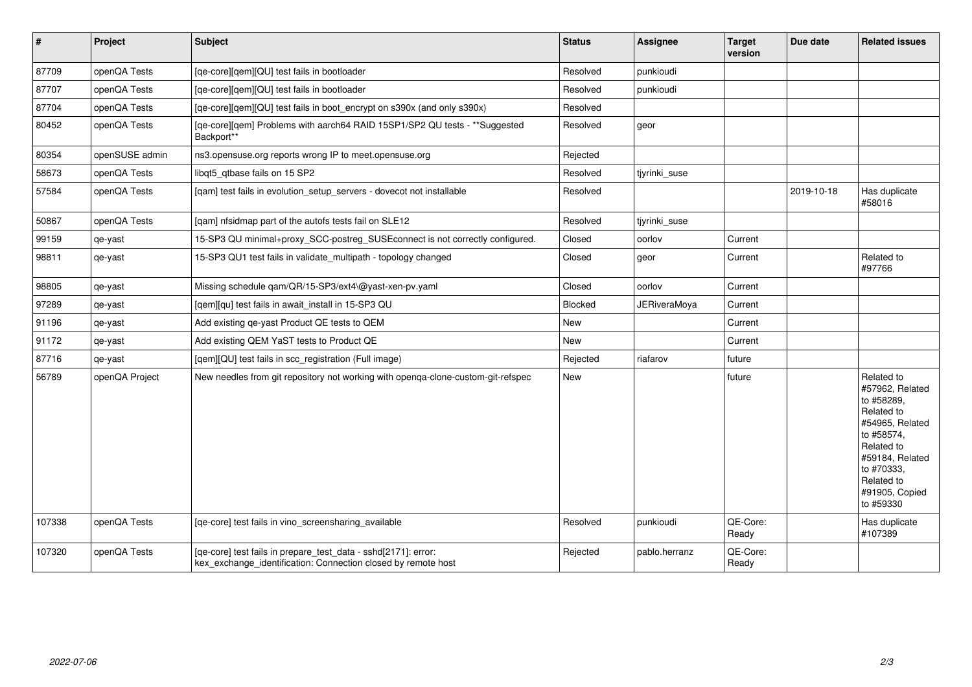| $\vert$ # | Project        | <b>Subject</b>                                                                                                                  | <b>Status</b> | Assignee            | <b>Target</b><br>version | Due date   | <b>Related issues</b>                                                                                                                                                                  |
|-----------|----------------|---------------------------------------------------------------------------------------------------------------------------------|---------------|---------------------|--------------------------|------------|----------------------------------------------------------------------------------------------------------------------------------------------------------------------------------------|
| 87709     | openQA Tests   | [qe-core][qem][QU] test fails in bootloader                                                                                     | Resolved      | punkioudi           |                          |            |                                                                                                                                                                                        |
| 87707     | openQA Tests   | [qe-core][qem][QU] test fails in bootloader                                                                                     | Resolved      | punkioudi           |                          |            |                                                                                                                                                                                        |
| 87704     | openQA Tests   | [qe-core][qem][QU] test fails in boot_encrypt on s390x (and only s390x)                                                         | Resolved      |                     |                          |            |                                                                                                                                                                                        |
| 80452     | openQA Tests   | [qe-core][qem] Problems with aarch64 RAID 15SP1/SP2 QU tests - **Suggested<br>Backport**                                        | Resolved      | geor                |                          |            |                                                                                                                                                                                        |
| 80354     | openSUSE admin | ns3.opensuse.org reports wrong IP to meet.opensuse.org                                                                          | Rejected      |                     |                          |            |                                                                                                                                                                                        |
| 58673     | openQA Tests   | libgt5 gtbase fails on 15 SP2                                                                                                   | Resolved      | tjyrinki_suse       |                          |            |                                                                                                                                                                                        |
| 57584     | openQA Tests   | [qam] test fails in evolution_setup_servers - dovecot not installable                                                           | Resolved      |                     |                          | 2019-10-18 | Has duplicate<br>#58016                                                                                                                                                                |
| 50867     | openQA Tests   | [qam] nfsidmap part of the autofs tests fail on SLE12                                                                           | Resolved      | tjyrinki_suse       |                          |            |                                                                                                                                                                                        |
| 99159     | qe-yast        | 15-SP3 QU minimal+proxy_SCC-postreg_SUSEconnect is not correctly configured.                                                    | Closed        | oorlov              | Current                  |            |                                                                                                                                                                                        |
| 98811     | qe-yast        | 15-SP3 QU1 test fails in validate_multipath - topology changed                                                                  | Closed        | geor                | Current                  |            | Related to<br>#97766                                                                                                                                                                   |
| 98805     | qe-yast        | Missing schedule qam/QR/15-SP3/ext4\@yast-xen-pv.yaml                                                                           | Closed        | oorlov              | Current                  |            |                                                                                                                                                                                        |
| 97289     | qe-yast        | [qem][qu] test fails in await_install in 15-SP3 QU                                                                              | Blocked       | <b>JERiveraMoya</b> | Current                  |            |                                                                                                                                                                                        |
| 91196     | qe-yast        | Add existing qe-yast Product QE tests to QEM                                                                                    | New           |                     | Current                  |            |                                                                                                                                                                                        |
| 91172     | qe-yast        | Add existing QEM YaST tests to Product QE                                                                                       | New           |                     | Current                  |            |                                                                                                                                                                                        |
| 87716     | qe-yast        | [qem][QU] test fails in scc_registration (Full image)                                                                           | Rejected      | riafarov            | future                   |            |                                                                                                                                                                                        |
| 56789     | openQA Project | New needles from git repository not working with openga-clone-custom-git-refspec                                                | New           |                     | future                   |            | Related to<br>#57962, Related<br>to #58289,<br>Related to<br>#54965, Related<br>to #58574,<br>Related to<br>#59184, Related<br>to #70333,<br>Related to<br>#91905, Copied<br>to #59330 |
| 107338    | openQA Tests   | [ge-core] test fails in vino screensharing available                                                                            | Resolved      | punkioudi           | QE-Core:<br>Ready        |            | Has duplicate<br>#107389                                                                                                                                                               |
| 107320    | openQA Tests   | [qe-core] test fails in prepare_test_data - sshd[2171]: error:<br>kex exchange identification: Connection closed by remote host | Rejected      | pablo.herranz       | QE-Core:<br>Ready        |            |                                                                                                                                                                                        |